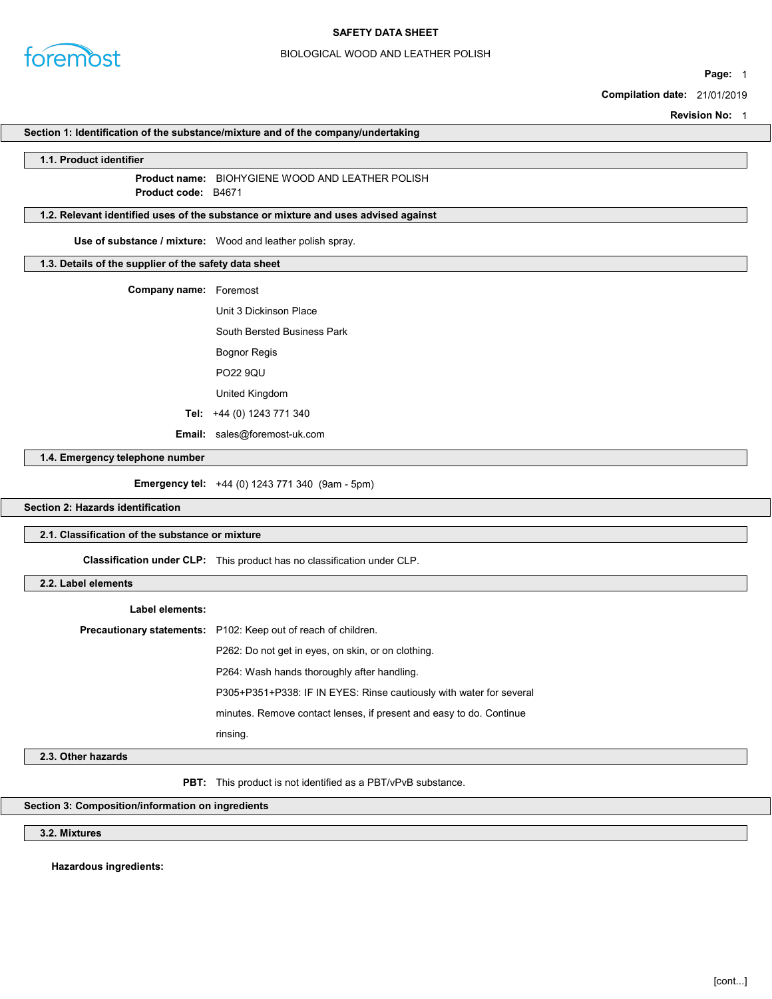

# BIOLOGICAL WOOD AND LEATHER POLISH

Page: 1

Compilation date: 21/01/2019

Revision No: 1

### Section 1: Identification of the substance/mixture and of the company/undertaking

#### 1.1. Product identifier

Product name: BIOHYGIENE WOOD AND LEATHER POLISH Product **code**: B4671

# 1.2. Relevant identified uses of the substance or mixture and uses advised against

Use of substance / mixture: Wood and leather polish spray.

# 1.3. Details of the supplier of the safety data sheet

| <b>Company name:</b> Foremost |                                    |
|-------------------------------|------------------------------------|
|                               | Unit 3 Dickinson Place             |
|                               | <b>South Bersted Business Park</b> |
|                               | <b>Bognor Regis</b>                |
|                               | <b>PO22 90U</b>                    |
|                               | United Kingdom                     |
|                               | Tel: $+44(0)$ 1243 771 340         |
| Email:                        | sales@foremost-uk.com              |

1.4. Emergency telephone number

Emergency tel: +44 (0) 1243 771 340 (9am - 5pm)

# Section 2: Hazards identification

# 2.1. Classification of the substance or mixture

Classification under CLP: This product has no classification under CLP.

# 2.2. Label elements

| Label elements: |                                                                       |
|-----------------|-----------------------------------------------------------------------|
|                 | <b>Precautionary statements:</b> P102: Keep out of reach of children. |
|                 | P262: Do not get in eyes, on skin, or on clothing.                    |
|                 | P264: Wash hands thoroughly after handling.                           |
|                 | P305+P351+P338: IF IN EYES: Rinse cautiously with water for several   |
|                 | minutes. Remove contact lenses, if present and easy to do. Continue   |
|                 | rinsing.                                                              |

# 2.3. Other hazards

PBT: This product is not identified as a PBT/vPvB substance.

### Section 3: Composition/information on ingredients

3.2. Mixtures

Hazardous ingredients: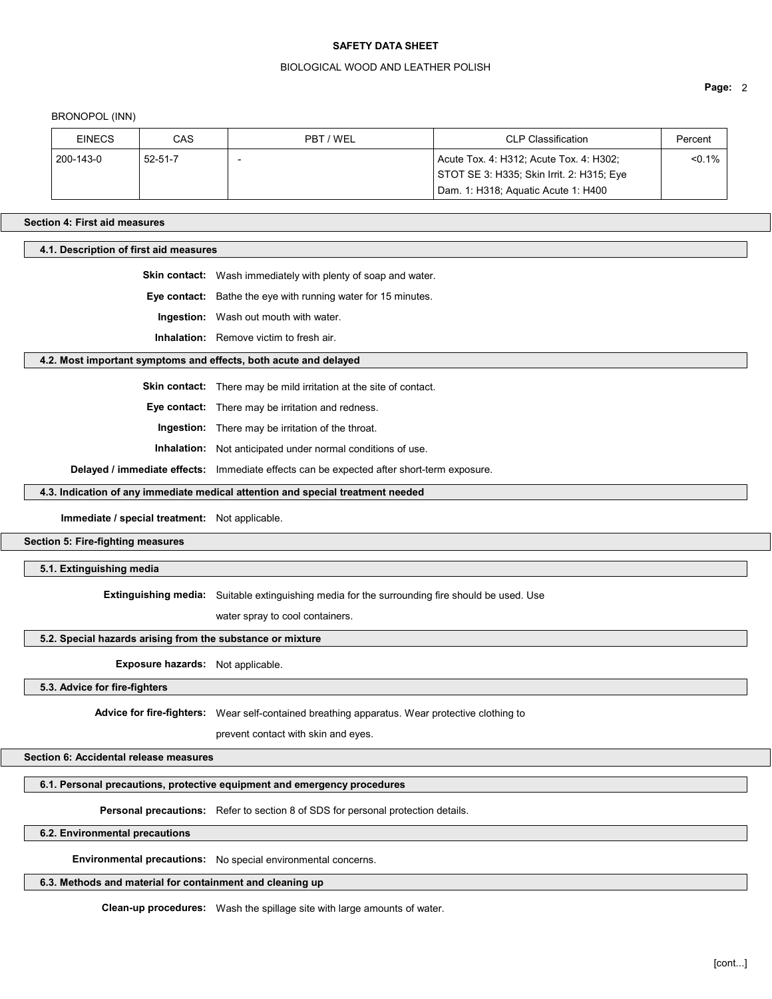#### BIOLOGICAL WOOD AND LEATHER POLISH

BRONOPOL (INN)

| <b>EINECS</b> | CAS           | PBT / WEL | <b>CLP Classification</b>                                                            | Percent   |
|---------------|---------------|-----------|--------------------------------------------------------------------------------------|-----------|
| 200-143-0     | $52 - 51 - 7$ |           | Acute Tox. 4: H312; Acute Tox. 4: H302;<br>STOT SE 3: H335; Skin Irrit. 2: H315; Eye | $< 0.1\%$ |
|               |               |           | Dam. 1: H318; Aguatic Acute 1: H400                                                  |           |

#### Section 4: First aid measures

4.1. Description of first aid measures

Skin contact: Wash immediately with plenty of soap and water.

Eye contact: Bathe the eye with running water for 15 minutes.

Ingestion: Wash out mouth with water.

Inhalation: Remove victim to fresh air.

## 4.2. Most important symptoms and effects, both acute and delayed

Skin contact: There may be mild irritation at the site of contact.

Eye contact: There may be irritation and redness.

Ingestion: There may be irritation of the throat.

Inhalation: Not anticipated under normal conditions of use.

Delayed / immediate effects: Immediate effects can be expected after short-term exposure.

### 4.3. Indication of any immediate medical attention and special treatment needed

Immediate / special treatment: Not applicable.

Section 5: Fire-fighting measures

#### 5.1. Extinguishing media

Extinguishing media: Suitable extinguishing media for the surrounding fire should be used. Use

water spray to cool containers.

## 5.2. Special hazards arising from the substance or mixture

Exposure hazards: Not applicable.

5.3. Advice for fire-fighters

Advice for fire-fighters: Wear self-contained breathing apparatus. Wear protective clothing to

prevent contact with skin and eyes.

Section 6: Accidental release measures

6.1. Personal precautions, protective equipment and emergency procedures

Personal precautions: Refer to section 8 of SDS for personal protection details.

6.2. Environmental precautions

Environmental precautions: No special environmental concerns.

#### 6.3. Methods and material for containment and cleaning up

Clean-up procedures: Wash the spillage site with large amounts of water.

Page: 2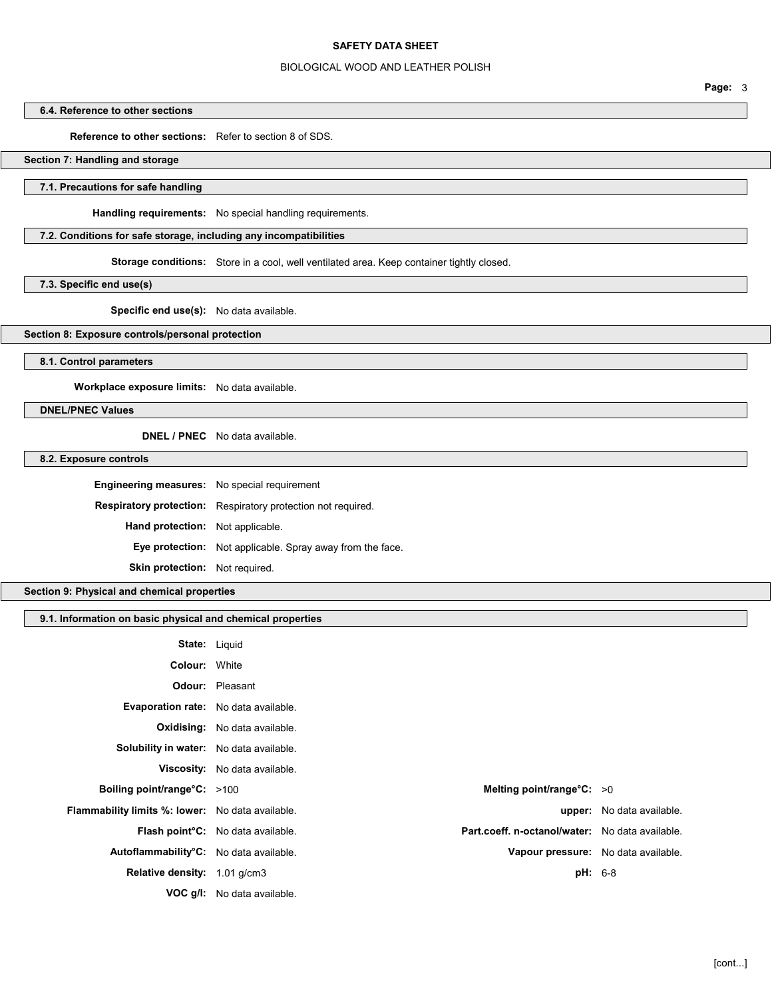## BIOLOGICAL WOOD AND LEATHER POLISH

# 6.4. Reference to other sections

Reference to other sections: Refer to section 8 of SDS.

# Section 7: Handling and storage

# 7.1. Precautions for safe handling

Handling requirements: No special handling requirements.

# 7.2. Conditions for safe storage, including any incompatibilities

Storage conditions: Store in a cool, well ventilated area. Keep container tightly closed.

7.3. Specific end use(s)

# Specific end use(s): No data available.

# Section 8: Exposure controls/personal protection

8.1. Control parameters

Workplace exposure limits: No data available.

DNEL/PNEC Values

DNEL / PNEC No data available.

## 8.2. Exposure controls

| <b>Engineering measures:</b> No special requirement |                                                                     |
|-----------------------------------------------------|---------------------------------------------------------------------|
|                                                     | <b>Respiratory protection:</b> Respiratory protection not required. |
| <b>Hand protection:</b> Not applicable.             |                                                                     |
|                                                     | <b>Eye protection:</b> Not applicable. Spray away from the face.    |
| <b>Skin protection:</b> Not required.               |                                                                     |

Section 9: Physical and chemical properties

### 9.1. Information on basic physical and chemical properties

|                                                         | <b>State: Liquid</b>                                                                              |                                     |
|---------------------------------------------------------|---------------------------------------------------------------------------------------------------|-------------------------------------|
| <b>Colour: White</b>                                    |                                                                                                   |                                     |
|                                                         | <b>Odour:</b> Pleasant                                                                            |                                     |
| Evaporation rate: No data available.                    |                                                                                                   |                                     |
|                                                         | <b>Oxidising:</b> No data available.                                                              |                                     |
| Solubility in water: No data available.                 |                                                                                                   |                                     |
|                                                         | <b>Viscosity:</b> No data available.                                                              |                                     |
| <b>Boiling point/range°C:</b> >100                      | Melting point/range $\textdegree$ C: >0                                                           |                                     |
| <b>Flammability limits %: lower:</b> No data available. |                                                                                                   | <b>upper:</b> No data available.    |
|                                                         | Part.coeff. n-octanol/water: No data available.<br>Flash point <sup>°</sup> C: No data available. |                                     |
| Autoflammability°C: No data available.                  |                                                                                                   | Vapour pressure: No data available. |
| Relative density: 1.01 g/cm3                            |                                                                                                   | <b>pH:</b> 6-8                      |
|                                                         | <b>VOC g/l:</b> No data available.                                                                |                                     |

Page: 3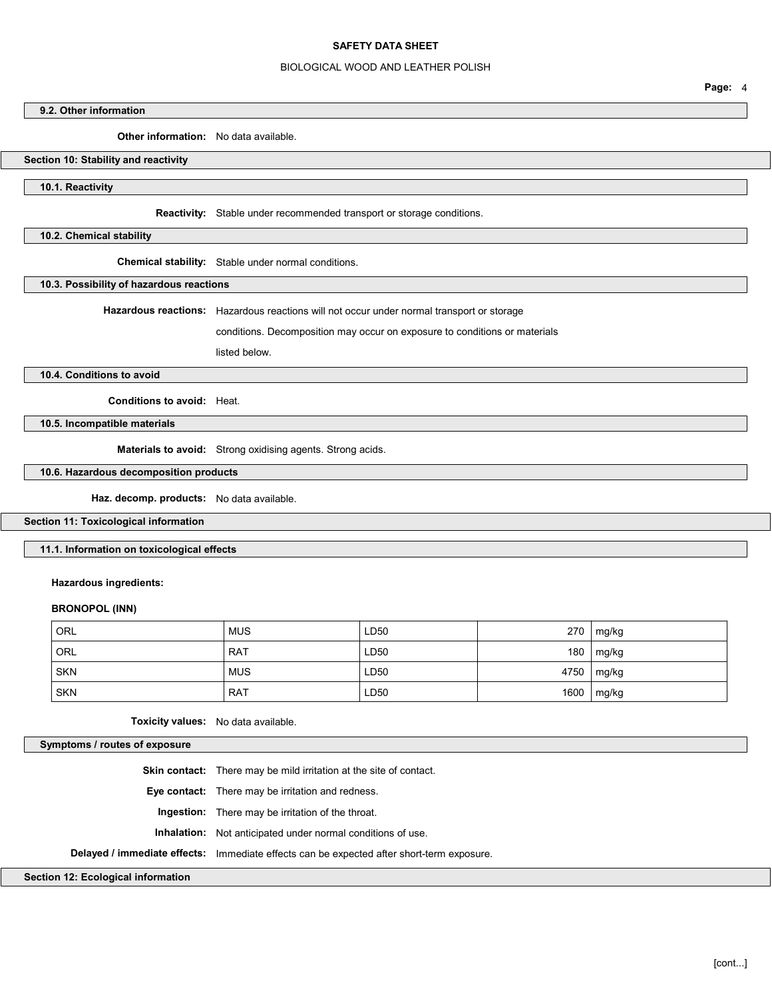#### BIOLOGICAL WOOD AND LEATHER POLISH

9.2. Other information

Other information: No data available.

### Section 10: Stability and reactivity

10.1. Reactivity

Reactivity: Stable under recommended transport or storage conditions.

10.2. Chemical stability

Chemical stability: Stable under normal conditions.

10.3. Possibility of hazardous reactions

Hazardous reactions: Hazardous reactions will not occur under normal transport or storage

conditions. Decomposition may occur on exposure to conditions or materials

listed below.

10.4. Conditions to avoid

Conditions to avoid: Heat.

10.5. Incompatible materials

Materials to avoid: Strong oxidising agents. Strong acids.

10.6. Hazardous decomposition products

Haz. decomp. products: No data available.

Section 11: Toxicological information

11.1. Information on toxicological effects

Hazardous ingredients:

## BRONOPOL (INN)

| ORL        | <b>MUS</b> | LD50 | 270  | mg/kg      |
|------------|------------|------|------|------------|
| ORL        | <b>RAT</b> | LD50 | 180  | mg/kg      |
| <b>SKN</b> | <b>MUS</b> | LD50 |      | 4750 mg/kg |
| <b>SKN</b> | <b>RAT</b> | LD50 | 1600 | mg/kg      |

Toxicity values: No data available.

Symptoms / routes of exposure

Skin contact: There may be mild irritation at the site of contact. Eye contact: There may be irritation and redness. Ingestion: There may be irritation of the throat. Inhalation: Not anticipated under normal conditions of use. Delayed / immediate effects: Immediate effects can be expected after short-term exposure.

Section 12: Ecological information

Page: 4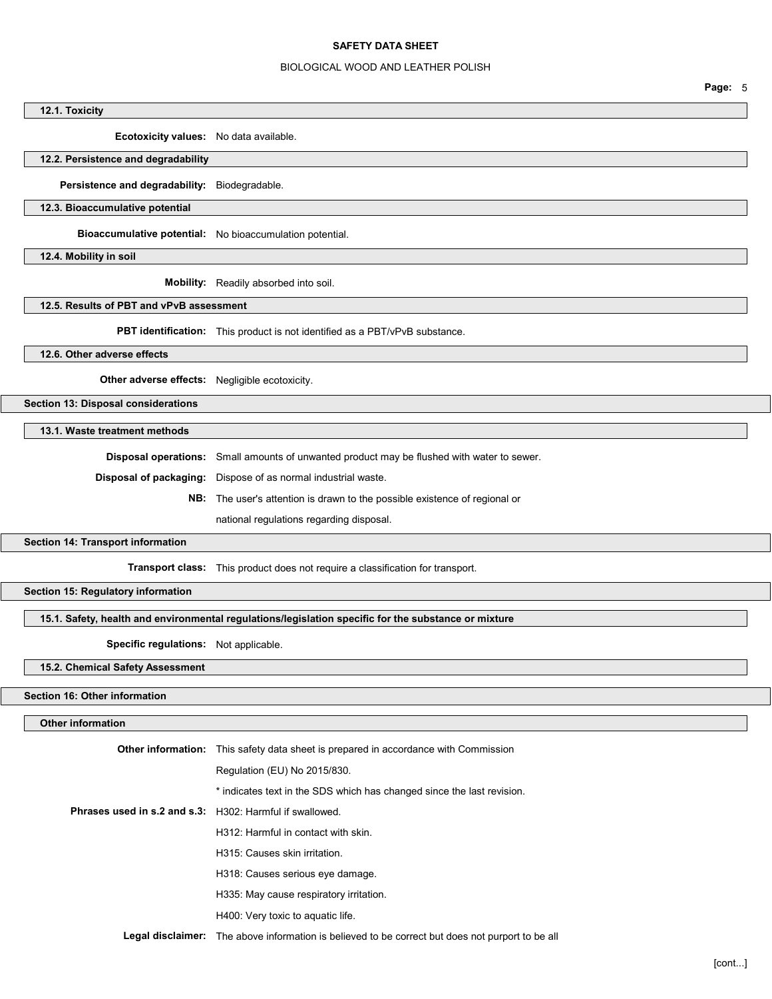# BIOLOGICAL WOOD AND LEATHER POLISH

|                                                          | Page: 5                                                                                                              |
|----------------------------------------------------------|----------------------------------------------------------------------------------------------------------------------|
| 12.1. Toxicity                                           |                                                                                                                      |
| Ecotoxicity values: No data available.                   |                                                                                                                      |
| 12.2. Persistence and degradability                      |                                                                                                                      |
| Persistence and degradability: Biodegradable.            |                                                                                                                      |
| 12.3. Bioaccumulative potential                          |                                                                                                                      |
|                                                          | Bioaccumulative potential: No bioaccumulation potential.                                                             |
| 12.4. Mobility in soil                                   |                                                                                                                      |
|                                                          | Mobility: Readily absorbed into soil.                                                                                |
| 12.5. Results of PBT and vPvB assessment                 |                                                                                                                      |
|                                                          | PBT identification: This product is not identified as a PBT/vPvB substance.                                          |
| 12.6. Other adverse effects                              |                                                                                                                      |
| Other adverse effects: Negligible ecotoxicity.           |                                                                                                                      |
| Section 13: Disposal considerations                      |                                                                                                                      |
| 13.1. Waste treatment methods                            |                                                                                                                      |
|                                                          |                                                                                                                      |
|                                                          | Disposal operations: Small amounts of unwanted product may be flushed with water to sewer.                           |
| Disposal of packaging:                                   | Dispose of as normal industrial waste.<br>NB: The user's attention is drawn to the possible existence of regional or |
|                                                          |                                                                                                                      |
|                                                          | national regulations regarding disposal.                                                                             |
| Section 14: Transport information                        |                                                                                                                      |
|                                                          | Transport class: This product does not require a classification for transport.                                       |
| Section 15: Regulatory information                       |                                                                                                                      |
|                                                          | 15.1. Safety, health and environmental regulations/legislation specific for the substance or mixture                 |
| Specific regulations: Not applicable.                    |                                                                                                                      |
| 15.2. Chemical Safety Assessment                         |                                                                                                                      |
| Section 16: Other information                            |                                                                                                                      |
| <b>Other information</b>                                 |                                                                                                                      |
|                                                          |                                                                                                                      |
|                                                          | Other information: This safety data sheet is prepared in accordance with Commission                                  |
|                                                          | Regulation (EU) No 2015/830.                                                                                         |
|                                                          | * indicates text in the SDS which has changed since the last revision.                                               |
| Phrases used in s.2 and s.3: H302: Harmful if swallowed. |                                                                                                                      |
|                                                          | H312: Harmful in contact with skin.                                                                                  |
|                                                          | H315: Causes skin irritation.                                                                                        |
|                                                          | H318: Causes serious eye damage.                                                                                     |

- H335: May cause respiratory irritation.
- H400: Very toxic to aquatic life.

Legal disclaimer: The above information is believed to be correct but does not purport to be all